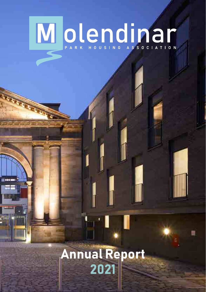# Title

## Annual Report 2021

Annual Report 2021

**M** olendina

1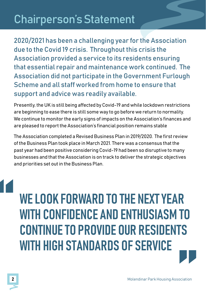## Chairperson's Statement

2020/2021 has been a challenging year for the Association due to the Covid 19 crisis. Throughout this crisis the Association provided a service to its residents ensuring that essential repair and maintenance work continued. The Association did not participate in the Government Furlough Scheme and all staff worked from home to ensure that support and advice was readily available.

Presently, the UK is still being affected by Covid-19 and while lockdown restrictions are beginning to ease there is still some way to go before we return to normality. We continue to monitor the early signs of impacts on the Association's finances and are pleased to report the Association's financial position remains stable

The Association completed a Revised Business Plan in 2019/2020. The first review of the Business Plan took place in March 2021. There was a consensus that the past year had been positive considering Covid-19 had been so disruptive to many businesses and that the Association is on track to deliver the strategic objectives and priorities set out in the Business Plan.

WE LOOK FORWARD TO THE NEXT YEAR WITH CONFIDENCE AND ENTHUSIASM TO CONTINUE TO PROVIDE OUR RESIDENTS WITH HIGH STANDARDS OF SERVICE "

"<br>"<br>
<sup>"</sup>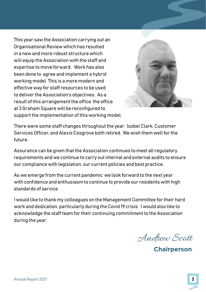This year saw the Association carrying out an Organisational Review which has resulted in a new and more robust structure which will equip the Association with the staff and expertise to move forward. Work has also been done to agree and implement a hybrid working model. This is a more modern and effective way for staff resources to be used to deliver the Association's objectives. As a result of this arrangement the office the office at 3 Graham Square will be reconfigured to support the implementation of this working model.



There were some staff changes throughout the year. Isobel Clark, Customer Services Officer, and Alexis Cosgrove both retired. We wish them well for the future.

Assurance can be given that the Association continues to meet all regulatory requirements and we continue to carry out internal and external audits to ensure our compliance with legislation, our current policies and best practice.

As we emerge from the current pandemic we look forward to the next year with confidence and enthusiasm to continue to provide our residents with high standards of service.

I would like to thank my colleagues on the Management Committee for their hard work and dedication, particularly during the Covid 19 crisis. I would also like to acknowledge the staff team for their continuing commitment to the Association during the year.

Andrew Scott

**Chairperson**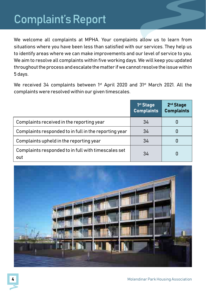## Complaint's Report

We welcome all complaints at MPHA. Your complaints allow us to learn from situations where you have been less than satisfied with our services. They help us to identify areas where we can make improvements and our level of service to you. We aim to resolve all complaints within five working days. We will keep you updated throughout the process and escalate the matter if we cannot resolve the issue within 5 days.

We received 34 complaints between 1<sup>st</sup> April 2020 and 31<sup>st</sup> March 2021. All the complaints were resolved within our given timescales.

|                                                            | 1 <sup>st</sup> Stage<br><b>Complaints</b> | 2 <sup>nd</sup> Stage<br><b>Complaints</b> |
|------------------------------------------------------------|--------------------------------------------|--------------------------------------------|
| Complaints received in the reporting year                  | 34                                         |                                            |
| Complaints responded to in full in the reporting year      | 34                                         |                                            |
| Complaints upheld in the reporting year                    | 34                                         | U                                          |
| Complaints responded to in full with timescales set<br>out | 34                                         | 0                                          |

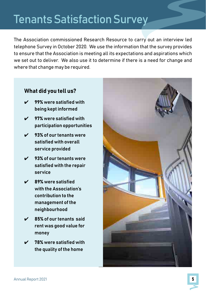## Tenants Satisfaction Survey

The Association commissioned Research Resource to carry out an interview led telephone Survey in October 2020. We use the information that the survey provides to ensure that the Association is meeting all its expectations and aspirations which we set out to deliver. We also use it to determine if there is a need for change and where that change may be required.

#### What did you tell us?

- $\nu$  99% were satisfied with being kept informed
- $\overline{V}$  97% were satisfied with participation opportunities
- $\sqrt{93\%}$  of our tenants were satisfied with overall service provided
- $\checkmark$  93% of our tenants were satisfied with the repair service
- $\nu$  89% were satisfied with the Association's contribution to the management of the neighbourhood
- 85% of our tenants said rent was good value for money
- ✔ 78% were satisfied with the quality of the home

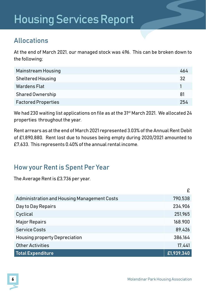## Housing Services Report

#### Allocations

At the end of March 2021, our managed stock was 496. This can be broken down to the following;

| Mainstream Housing         | 464 |
|----------------------------|-----|
| <b>Sheltered Housing</b>   | 32  |
| Wardens Flat               |     |
| Shared Ownership           | -81 |
| <b>Factored Properties</b> | 254 |

We had 230 waiting list applications on file as at the 31<sup>st</sup> March 2021. We allocated 24 properties throughout the year.

Rent arrears as at the end of March 2021 represented 3.03% of the Annual Rent Debit of £1,890,880. Rent lost due to houses being empty during 2020/2021 amounted to £7,633. This represents 0.40% of the annual rental income.

#### How your Rent is Spent Per Year

The Average Rent is £3,736 per year.

|                                             | £          |
|---------------------------------------------|------------|
| Administration and Housing Management Costs | 790,538    |
| Day to Day Repairs                          | 234,906    |
| Cyclical                                    | 251,965    |
| <b>Major Repairs</b>                        | 168.900    |
| Service Costs                               | 89,426     |
| <b>Housing property Depreciation</b>        | 386,164    |
| <b>Other Activities</b>                     | 17,441     |
| <b>Total Expenditure</b>                    | £1,939,340 |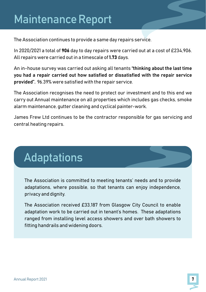## Maintenance Report

The Association continues to provide a same day repairs service.

In 2020/2021 a total of 906 day to day repairs were carried out at a cost of £234,906. All repairs were carried out in a timescale of 1.73 days.

An in-house survey was carried out asking all tenants "thinking about the last time you had a repair carried out how satisfied or dissatisfied with the repair service provided". 96.39% were satisfied with the repair service.

nants **"thinking about the last time**<br>**Saatisfied with the repair service**<br>Prvice.<br>ur investment and to this end we<br>which includes gas checks, smoke<br>ainter-work.<br>responsible for gas servicing and The Association recognises the need to protect our investment and to this end we carry out Annual maintenance on all properties which includes gas checks, smoke alarm maintenance, gutter cleaning and cyclical painter-work.

James Frew Ltd continues to be the contractor responsible for gas servicing and central heating repairs.

## Adaptations

The Association is committed to meeting tenants' needs and to provide adaptations, where possible, so that tenants can enjoy independence, privacy and dignity.

The Association received £33,187 from Glasgow City Council to enable adaptation work to be carried out in tenant's homes. These adaptations ranged from installing level access showers and over bath showers to fitting handrails and widening doors.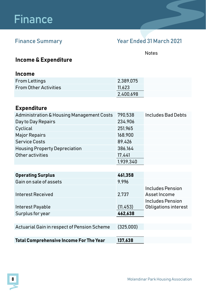## Finance

#### Finance Summary Year Ended 31 March 2021

Notes

#### Income & Expenditure

#### Income

| <b>From Lettings</b>         | 2.389.075 |  |
|------------------------------|-----------|--|
| <b>From Other Activities</b> | 11.623    |  |
|                              | 2.400.698 |  |

#### Expenditure

| Administration & Housing Management Costs      | 790.538   | Includes Bad Debts   |
|------------------------------------------------|-----------|----------------------|
| Day to Day Repairs                             | 234.906   |                      |
| Cyclical                                       | 251,965   |                      |
| <b>Major Repairs</b>                           | 168,900   |                      |
| <b>Service Costs</b>                           | 89.426    |                      |
| <b>Housing Property Depreciation</b>           | 386,164   |                      |
| Other activities                               | 17,441    |                      |
|                                                | 1,939,340 |                      |
|                                                |           |                      |
| <b>Operating Surplus</b>                       | 461,358   |                      |
| Gain on sale of assets                         | 9,996     |                      |
|                                                |           | Includes Pension     |
| Interest Received                              | 2,737     | Asset Income         |
|                                                |           | Includes Pension     |
| Interest Payable                               | (11, 453) | Obligations interest |
| Surplus for year                               | 462.638   |                      |
|                                                |           |                      |
| Actuarial Gain in respect of Pension Scheme    | (325,000) |                      |
|                                                |           |                      |
| <b>Total Comprehensive Income For The Year</b> | 137,638   |                      |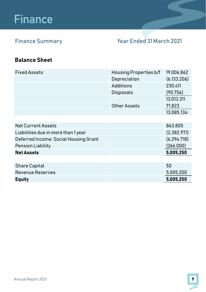## Finance

### Finance Summary Year Ended 31 March 2021

#### Balance Sheet

| Fixed Assets:                         | <b>Housing Properties b/f</b> | 19,006,862    |
|---------------------------------------|-------------------------------|---------------|
|                                       | Depreciation                  | (6, 133, 206) |
|                                       | Additions                     | 230.411       |
|                                       | <b>Disposals</b>              | (90, 756)     |
|                                       |                               | 13,013,311    |
|                                       | Other Assets                  | 71.823        |
|                                       |                               | 13.085.134    |
|                                       |                               |               |
| <b>Net Current Assets</b>             |                               | 863.805       |
| Liabilities due in more than 1 year   |                               | (2,382,971)   |
| Deferred Income: Social Housing Grant |                               | (6, 294, 718) |
| Pension Liability                     |                               | (266,000)     |
| <b>Net Assets</b>                     |                               | 5,005,250     |
|                                       |                               |               |
| Share Capital                         |                               | 50            |
| Revenue Reserves                      |                               | 5.005.200     |
| <b>Equity</b>                         |                               | 5,005,250     |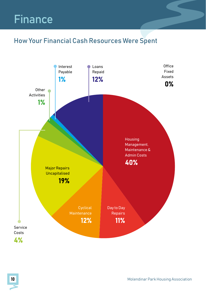## Finance

### How Your Financial Cash Resources Were Spent

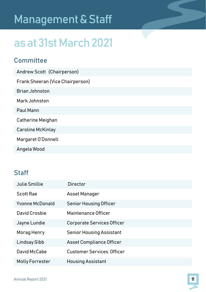## Management & Staff

## as at 31st March 2021

#### **Committee**

| Andrew Scott (Chairperson)       |
|----------------------------------|
| Frank Sheeran (Vice Chairperson) |
| <b>Brian Johnston</b>            |
| Mark Johnston                    |
| Paul Mann                        |
| Catherine Meighan                |
| Caroline McKinlay                |
| Margaret O'Donnell               |
| Angela Wood                      |

#### Staff

| Julie Smillie   | Director                         |
|-----------------|----------------------------------|
| Scott Rae       | Asset Manager                    |
| Yvonne McDonald | <b>Senior Housing Officer</b>    |
| David Crosbie   | Maintenance Officer              |
| Jayne Lundie    | Corporate Services Officer       |
| Morag Henry     | <b>Senior Housing Assistant</b>  |
| Lindsay Gibb    | Asset Compliance Officer         |
| David McCabe    | <b>Customer Services Officer</b> |
| Molly Forrester | Housing Assistant                |